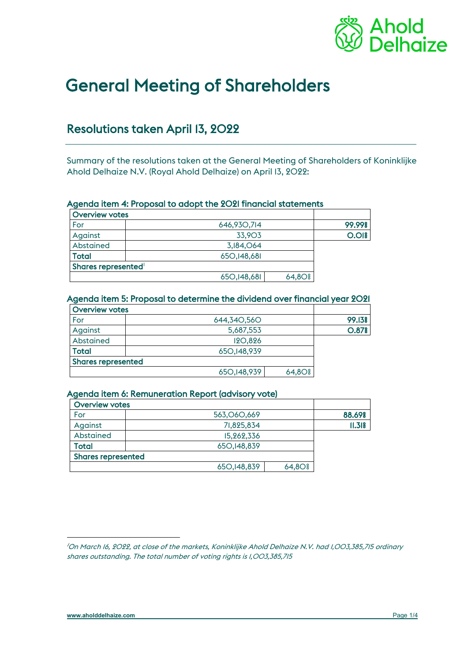

# General Meeting of Shareholders

# Resolutions taken April 13, 2022

Summary of the resolutions taken at the General Meeting of Shareholders of Koninklijke Ahold Delhaize N.V. (Royal Ahold Delhaize) on April 13, 2022:

# Agenda item 4: Proposal to adopt the 2021 financial statements

| <b>Overview votes</b> |               |             |        |
|-----------------------|---------------|-------------|--------|
| For                   | 646,930,714   |             | 99.99% |
| Against               | 33,903        |             | O.OI   |
| Abstained             | 3,184,064     |             |        |
| Total                 | 650, 148, 681 |             |        |
| Shares represented    |               |             |        |
|                       | 650, 148, 681 | $64,80$ $%$ |        |

#### Agenda item 5: Proposal to determine the dividend over financial year 2021

| <b>Overview votes</b>     |                |             |                   |
|---------------------------|----------------|-------------|-------------------|
| For                       | 644,340,560    |             | 99.13%            |
| Against                   | 5,687,553      |             | O.87 <sup>8</sup> |
| Abstained                 | <b>120,826</b> |             |                   |
| <b>Total</b>              | 650, 148, 939  |             |                   |
| <b>Shares represented</b> |                |             |                   |
|                           | 650, 148, 939  | $64,80$ $%$ |                   |

#### Agenda item 6: Remuneration Report (advisory vote)

| <b>Overview votes</b>     |               |                      |        |
|---------------------------|---------------|----------------------|--------|
| For                       | 563,060,669   |                      | 88.69% |
| Against                   | 71,825,834    |                      | II.318 |
| Abstained                 | 15,262,336    |                      |        |
| Total                     | 650, 148, 839 |                      |        |
| <b>Shares represented</b> |               |                      |        |
|                           | 650, 148, 839 | $64,80$ <sup>s</sup> |        |

<span id="page-0-0"></span>*<sup>1</sup>* On March 16, 2022, at close of the markets, Koninklijke Ahold Delhaize N.V. had 1,003,385,715 ordinary shares outstanding. The total number of voting rights is 1,003,385,715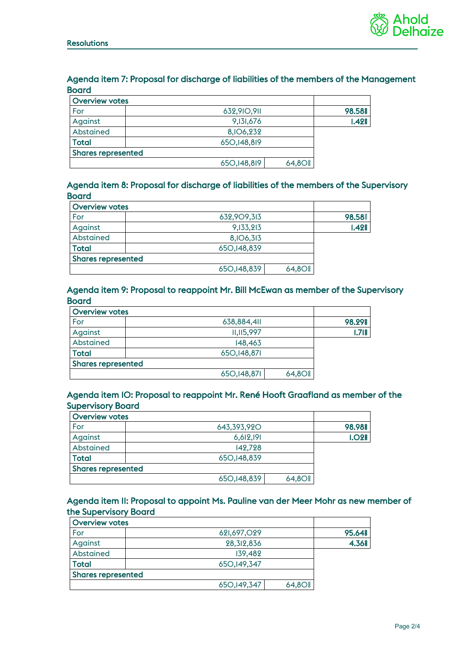

# Agenda item 7: Proposal for discharge of liabilities of the members of the Management Board

| <b>Overview votes</b>     |               |             |        |
|---------------------------|---------------|-------------|--------|
| For                       | 632,910,911   |             | 98.58% |
| Against                   | 9,131,676     |             | 1.428  |
| Abstained                 | 8, IO6, 232   |             |        |
| <b>Total</b>              | 650, 148, 819 |             |        |
| <b>Shares represented</b> |               |             |        |
|                           | 650, 148, 819 | $64,80$ $%$ |        |

# Agenda item 8: Proposal for discharge of liabilities of the members of the Supervisory **Board**

| <b>Overview votes</b>     |               |             |        |
|---------------------------|---------------|-------------|--------|
| For                       | 632,909,313   |             | 98.58% |
| Against                   | 9,133,213     |             | 1.428  |
| Abstained                 | 8,106,313     |             |        |
| <b>Total</b>              | 650, 148, 839 |             |        |
| <b>Shares represented</b> |               |             |        |
|                           | 650, 148, 839 | $64,80$ $%$ |        |

#### Agenda item 9: Proposal to reappoint Mr. Bill McEwan as member of the Supervisory **Board**

| <b>Overview votes</b>     |               |             |        |
|---------------------------|---------------|-------------|--------|
| For                       | 638,884,411   |             | 98.29% |
| Against                   | 11,115,997    |             | 1.718  |
| Abstained                 | 148,463       |             |        |
| Total                     | 650, 148, 871 |             |        |
| <b>Shares represented</b> |               |             |        |
|                           | 650, 148, 871 | $64,80$ $%$ |        |

#### Agenda item 10: Proposal to reappoint Mr. René Hooft Graafland as member of the Supervisory Board

| <b>Overview votes</b>     |               |             |                   |
|---------------------------|---------------|-------------|-------------------|
| For                       | 643,393,920   |             | 98.98%            |
| Against                   | 6,612,191     |             | 1.02 <sub>8</sub> |
| Abstained                 | 142,728       |             |                   |
| <b>Total</b>              | 650, 148, 839 |             |                   |
| <b>Shares represented</b> |               |             |                   |
|                           | 650, 148, 839 | $64,80$ $%$ |                   |

# Agenda item 11: Proposal to appoint Ms. Pauline van der Meer Mohr as new member of the Supervisory Board

| <b>Overview votes</b>     |               |             |        |
|---------------------------|---------------|-------------|--------|
| For                       | 621,697,029   |             | 95.64% |
| Against                   | 28,312,836    |             | 4.36%  |
| Abstained                 | 139.482       |             |        |
| Total                     | 650, 149, 347 |             |        |
| <b>Shares represented</b> |               |             |        |
|                           | 650, 149, 347 | $64,80$ $%$ |        |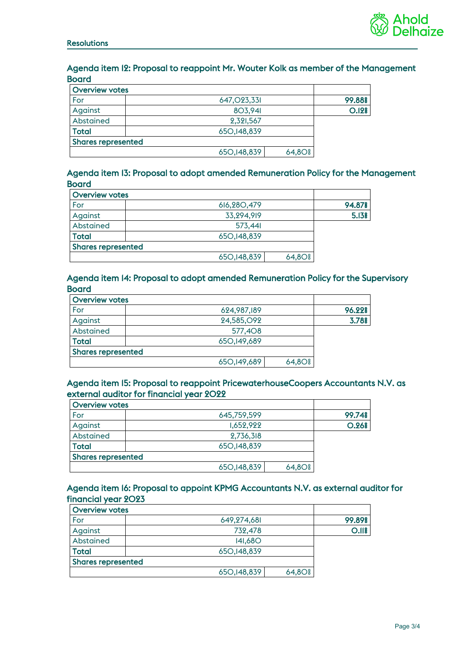

# Agenda item 12: Proposal to reappoint Mr. Wouter Kolk as member of the Management **Board**

| <b>Overview votes</b>     |                                                     |        |
|---------------------------|-----------------------------------------------------|--------|
| For                       | 647,023,331                                         | 99.88% |
| Against                   | 803,941                                             | O.I28  |
| Abstained                 | 2,321,567                                           |        |
| Total                     | 650, 148, 839                                       |        |
| <b>Shares represented</b> |                                                     |        |
|                           | 650, 148, 839<br>$64,80$ <sup><math>\$</math></sup> |        |

# Agenda item 13: Proposal to adopt amended Remuneration Policy for the Management Board

| <b>Overview votes</b>     |               |             |        |
|---------------------------|---------------|-------------|--------|
| For                       | 616,280,479   |             | 94.87% |
| Against                   | 33,294,919    |             | 5.13%  |
| Abstained                 | 573,441       |             |        |
| <b>Total</b>              | 650, 148, 839 |             |        |
| <b>Shares represented</b> |               |             |        |
|                           | 650, 148, 839 | $64,80$ $%$ |        |

#### Agenda item 14: Proposal to adopt amended Remuneration Policy for the Supervisory **Board**

| <b>Overview votes</b>     |               |             |        |
|---------------------------|---------------|-------------|--------|
| For                       | 624,987,189   |             | 96.22% |
| Against                   | 24,585, O92   |             | 3.78%  |
| Abstained                 | 577,408       |             |        |
| <b>Total</b>              | 650, 149, 689 |             |        |
| <b>Shares represented</b> |               |             |        |
|                           | 650, 149, 689 | $64,80$ $%$ |        |

# Agenda item 15: Proposal to reappoint PricewaterhouseCoopers Accountants N.V. as external auditor for financial year 2022

| <b>Overview votes</b>     |               |             |        |
|---------------------------|---------------|-------------|--------|
| For                       | 645,759,599   |             | 99.74% |
| Against                   | 1,652,922     |             | O.26%  |
| Abstained                 | 2,736,318     |             |        |
| <b>Total</b>              | 650, 148, 839 |             |        |
| <b>Shares represented</b> |               |             |        |
|                           | 650, 148, 839 | $64,80$ $$$ |        |

# Agenda item 16: Proposal to appoint KPMG Accountants N.V. as external auditor for financial year 2023

| <b>Overview votes</b>     |               |             |        |
|---------------------------|---------------|-------------|--------|
| For                       | 649,274,681   |             | 99.89% |
| Against                   | 732,478       |             | O.IIS  |
| Abstained                 | 141,68O       |             |        |
| <b>Total</b>              | 650, 148, 839 |             |        |
| <b>Shares represented</b> |               |             |        |
|                           | 650, 148, 839 | $64,80$ $%$ |        |